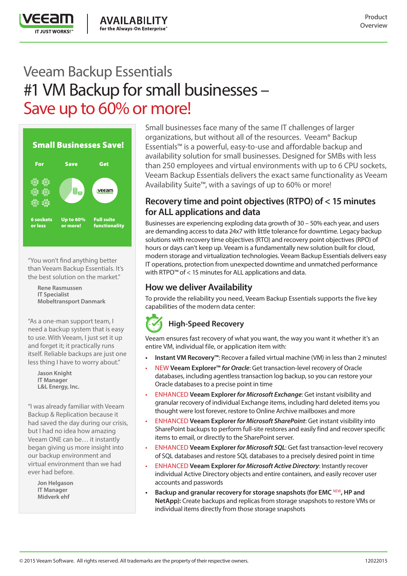

# Veeam Backup Essentials #1 VM Backup for small businesses – Save up to 60% or more!



"You won't find anything better than Veeam Backup Essentials. It's the best solution on the market."

> **Rene Rasmussen IT Specialist Mobeltransport Danmark**

"As a one-man support team, I need a backup system that is easy to use. With Veeam, I just set it up and forget it; it practically runs itself. Reliable backups are just one less thing I have to worry about."

> **Jason Knight IT Manager L&L Energy, Inc.**

"I was already familiar with Veeam Backup & Replication because it had saved the day during our crisis, but I had no idea how amazing Veeam ONE can be… it instantly began giving us more insight into our backup environment and virtual environment than we had ever had before.

**Jon Helgason IT Manager Midverk ehf**

Small businesses face many of the same IT challenges of larger organizations, but without all of the resources. Veeam® Backup Essentials™ is a powerful, easy-to-use and affordable backup and availability solution for small businesses. Designed for SMBs with less than 250 employees and virtual environments with up to 6 CPU sockets, Veeam Backup Essentials delivers the exact same functionality as Veeam Availability Suite™, with a savings of up to 60% or more!

## **Recovery time and point objectives (RTPO) of < 15 minutes for ALL applications and data**

Businesses are experiencing exploding data growth of 30 – 50% each year, and users are demanding access to data 24x7 with little tolerance for downtime. Legacy backup solutions with recovery time objectives (RTO) and recovery point objectives (RPO) of hours or days can't keep up. Veeam is a fundamentally new solution built for cloud, modern storage and virtualization technologies. Veeam Backup Essentials delivers easy IT operations, protection from unexpected downtime and unmatched performance with RTPO™ of < 15 minutes for ALL applications and data.

## **How we deliver Availability**

To provide the reliability you need, Veeam Backup Essentials supports the five key capabilities of the modern data center:

# **High-Speed Recovery**

Veeam ensures fast recovery of what you want, the way you want it whether it's an entire VM, individual file, or application item with:

- **• Instant VM Recovery™**: Recover a failed virtual machine (VM) in less than 2 minutes!
- NEW **Veeam Explorer™** *for Oracle*: Get transaction-level recovery of Oracle databases, including agentless transaction log backup, so you can restore your Oracle databases to a precise point in time
- ENHANCED **Veeam Explorer** *for Microsoft Exchange*: Get instant visibility and granular recovery of individual Exchange items, including hard deleted items you thought were lost forever, restore to Online Archive mailboxes and more
- ENHANCED **Veeam Explorer** *for Microsoft SharePoint*: Get instant visibility into SharePoint backups to perform full-site restores and easily find and recover specific items to email, or directly to the SharePoint server.
- ENHANCED **Veeam Explorer** *for Microsoft SQL*: Get fast transaction-level recovery of SQL databases and restore SQL databases to a precisely desired point in time
- ENHANCED **Veeam Explorer** *for Microsoft Active Directory*: Instantly recover individual Active Directory objects and entire containers, and easily recover user accounts and passwords
- **•** Backup and granular recovery for storage snapshots (for EMC NEW, HP and **NetApp):** Create backups and replicas from storage snapshots to restore VMs or individual items directly from those storage snapshots